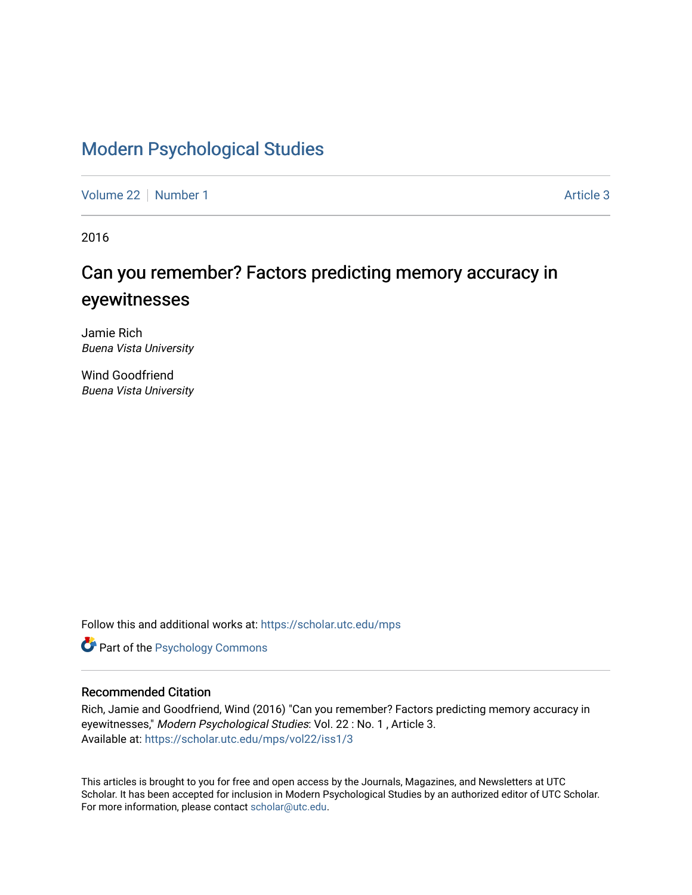# [Modern Psychological Studies](https://scholar.utc.edu/mps)

[Volume 22](https://scholar.utc.edu/mps/vol22) [Number 1](https://scholar.utc.edu/mps/vol22/iss1) Article 3

2016

# Can you remember? Factors predicting memory accuracy in eyewitnesses

Jamie Rich Buena Vista University

Wind Goodfriend Buena Vista University

Follow this and additional works at: [https://scholar.utc.edu/mps](https://scholar.utc.edu/mps?utm_source=scholar.utc.edu%2Fmps%2Fvol22%2Fiss1%2F3&utm_medium=PDF&utm_campaign=PDFCoverPages) 

**Part of the Psychology Commons** 

#### Recommended Citation

Rich, Jamie and Goodfriend, Wind (2016) "Can you remember? Factors predicting memory accuracy in eyewitnesses," Modern Psychological Studies: Vol. 22 : No. 1 , Article 3. Available at: [https://scholar.utc.edu/mps/vol22/iss1/3](https://scholar.utc.edu/mps/vol22/iss1/3?utm_source=scholar.utc.edu%2Fmps%2Fvol22%2Fiss1%2F3&utm_medium=PDF&utm_campaign=PDFCoverPages) 

This articles is brought to you for free and open access by the Journals, Magazines, and Newsletters at UTC Scholar. It has been accepted for inclusion in Modern Psychological Studies by an authorized editor of UTC Scholar. For more information, please contact [scholar@utc.edu](mailto:scholar@utc.edu).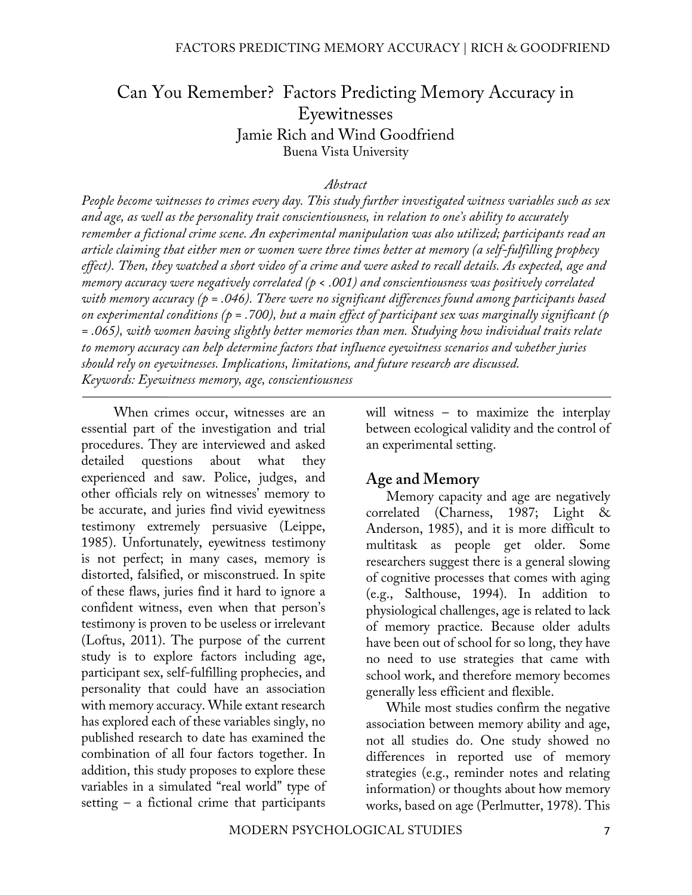# Can You Remember? Factors Predicting Memory Accuracy in Eyewitnesses Jamie Rich and Wind Goodfriend Buena Vista University

#### *Abstract*

*People become witnesses to crimes every day. This study further investigated witness variables such as sex and age, as well as the personality trait conscientiousness, in relation to one's ability to accurately remember a fictional crime scene. An experimental manipulation was also utilized; participants read an article claiming that either men or women were three times better at memory (a self-fulfilling prophecy effect). Then, they watched a short video of a crime and were asked to recall details. As expected, age and memory accuracy were negatively correlated (p < .001) and conscientiousness was positively correlated with memory accuracy (p = .046). There were no significant differences found among participants based on experimental conditions (p = .700), but a main effect of participant sex was marginally significant (p = .065), with women having slightly better memories than men. Studying how individual traits relate to memory accuracy can help determine factors that influence eyewitness scenarios and whether juries should rely on eyewitnesses. Implications, limitations, and future research are discussed. Keywords: Eyewitness memory, age, conscientiousness*

When crimes occur, witnesses are an essential part of the investigation and trial procedures. They are interviewed and asked detailed questions about what they experienced and saw. Police, judges, and other officials rely on witnesses' memory to be accurate, and juries find vivid eyewitness testimony extremely persuasive (Leippe, 1985). Unfortunately, eyewitness testimony is not perfect; in many cases, memory is distorted, falsified, or misconstrued. In spite of these flaws, juries find it hard to ignore a confident witness, even when that person's testimony is proven to be useless or irrelevant (Loftus, 2011). The purpose of the current study is to explore factors including age, participant sex, self-fulfilling prophecies, and personality that could have an association with memory accuracy. While extant research has explored each of these variables singly, no published research to date has examined the combination of all four factors together. In addition, this study proposes to explore these variables in a simulated "real world" type of setting  $-$  a fictional crime that participants

will witness – to maximize the interplay between ecological validity and the control of an experimental setting.

### **Age and Memory**

Memory capacity and age are negatively correlated (Charness, 1987; Light & Anderson, 1985), and it is more difficult to multitask as people get older. Some researchers suggest there is a general slowing of cognitive processes that comes with aging (e.g., Salthouse, 1994). In addition to physiological challenges, age is related to lack of memory practice. Because older adults have been out of school for so long, they have no need to use strategies that came with school work, and therefore memory becomes generally less efficient and flexible.

While most studies confirm the negative association between memory ability and age, not all studies do. One study showed no differences in reported use of memory strategies (e.g., reminder notes and relating information) or thoughts about how memory works, based on age (Perlmutter, 1978). This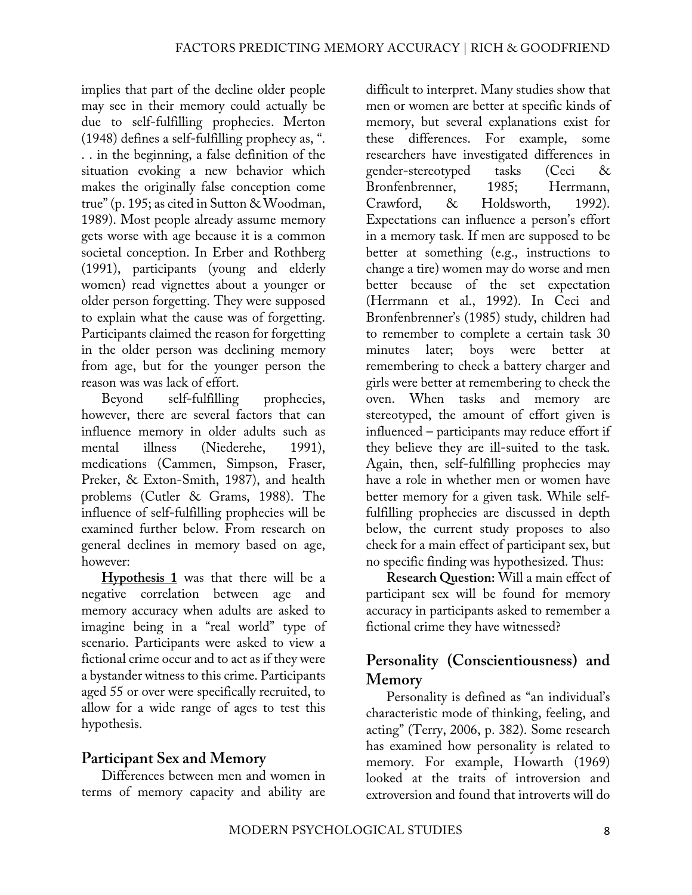implies that part of the decline older people may see in their memory could actually be due to self-fulfilling prophecies. Merton (1948) defines a self-fulfilling prophecy as, ". . . in the beginning, a false definition of the situation evoking a new behavior which makes the originally false conception come true" (p. 195; as cited in Sutton & Woodman, 1989). Most people already assume memory gets worse with age because it is a common societal conception. In Erber and Rothberg (1991), participants (young and elderly women) read vignettes about a younger or older person forgetting. They were supposed to explain what the cause was of forgetting. Participants claimed the reason for forgetting in the older person was declining memory from age, but for the younger person the reason was was lack of effort.

Beyond self-fulfilling prophecies, however, there are several factors that can influence memory in older adults such as mental illness (Niederehe, 1991), medications (Cammen, Simpson, Fraser, Preker, & Exton-Smith, 1987), and health problems (Cutler & Grams, 1988). The influence of self-fulfilling prophecies will be examined further below. From research on general declines in memory based on age, however:

**Hypothesis 1** was that there will be a negative correlation between age and memory accuracy when adults are asked to imagine being in a "real world" type of scenario. Participants were asked to view a fictional crime occur and to act as if they were a bystander witness to this crime. Participants aged 55 or over were specifically recruited, to allow for a wide range of ages to test this hypothesis.

# **Participant Sex and Memory**

Differences between men and women in terms of memory capacity and ability are difficult to interpret. Many studies show that men or women are better at specific kinds of memory, but several explanations exist for these differences. For example, some researchers have investigated differences in gender-stereotyped tasks (Ceci & Bronfenbrenner, 1985; Herrmann, Crawford, & Holdsworth, 1992). Expectations can influence a person's effort in a memory task. If men are supposed to be better at something (e.g., instructions to change a tire) women may do worse and men better because of the set expectation (Herrmann et al., 1992). In Ceci and Bronfenbrenner's (1985) study, children had to remember to complete a certain task 30 minutes later; boys were better at remembering to check a battery charger and girls were better at remembering to check the oven. When tasks and memory are stereotyped, the amount of effort given is influenced – participants may reduce effort if they believe they are ill-suited to the task. Again, then, self-fulfilling prophecies may have a role in whether men or women have better memory for a given task. While selffulfilling prophecies are discussed in depth below, the current study proposes to also check for a main effect of participant sex, but no specific finding was hypothesized. Thus:

**Research Question:** Will a main effect of participant sex will be found for memory accuracy in participants asked to remember a fictional crime they have witnessed?

# **Personality (Conscientiousness) and Memory**

Personality is defined as "an individual's characteristic mode of thinking, feeling, and acting" (Terry, 2006, p. 382). Some research has examined how personality is related to memory. For example, Howarth (1969) looked at the traits of introversion and extroversion and found that introverts will do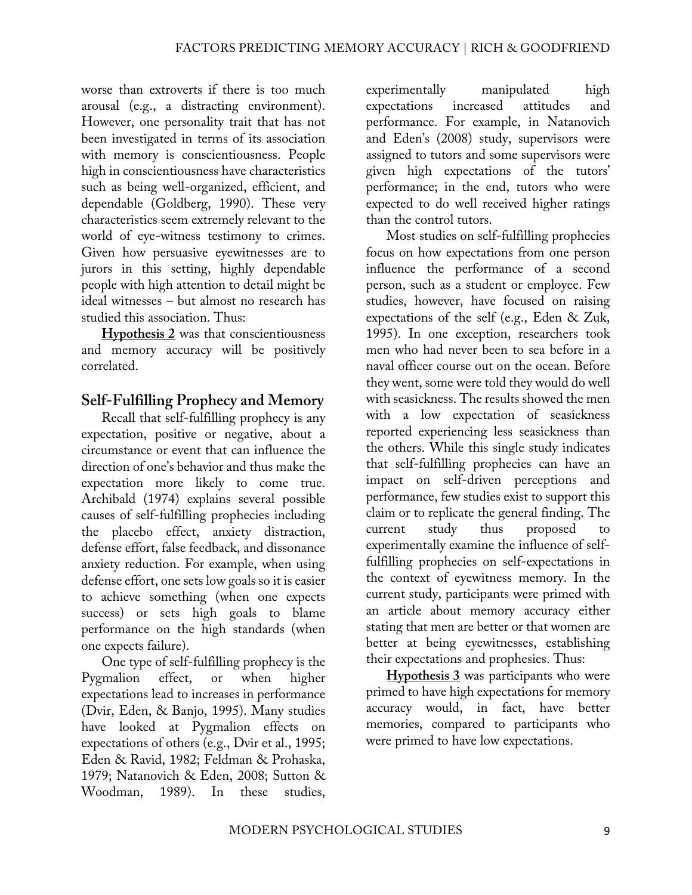worse than extroverts if there is too much arousal (e.g., a distracting environment). However, one personality trait that has not been investigated in terms of its association with memory is conscientiousness. People high in conscientiousness have characteristics such as being well-organized, efficient, and dependable (Goldberg, 1990). These very characteristics seem extremely relevant to the world of eye-witness testimony to crimes. Given how persuasive eyewitnesses are to jurors in this setting, highly dependable people with high attention to detail might be ideal witnesses – but almost no research has studied this association. Thus:

**Hypothesis 2** was that conscientiousness and memory accuracy will be positively correlated.

# **Self-Fulfilling Prophecy and Memory**

Recall that self-fulfilling prophecy is any expectation, positive or negative, about a circumstance or event that can influence the direction of one's behavior and thus make the expectation more likely to come true. Archibald (1974) explains several possible causes of self-fulfilling prophecies including the placebo effect, anxiety distraction, defense effort, false feedback, and dissonance anxiety reduction. For example, when using defense effort, one sets low goals so it is easier to achieve something (when one expects success) or sets high goals to blame performance on the high standards (when one expects failure).

One type of self-fulfilling prophecy is the Pygmalion effect, or when higher expectations lead to increases in performance (Dvir, Eden, & Banjo, 1995). Many studies have looked at Pygmalion effects on expectations of others (e.g., Dvir et al., 1995; Eden & Ravid, 1982; Feldman & Prohaska, 1979; Natanovich & Eden, 2008; Sutton & Woodman, 1989). In these studies,

experimentally manipulated high expectations increased attitudes and performance. For example, in Natanovich and Eden's (2008) study, supervisors were assigned to tutors and some supervisors were given high expectations of the tutors' performance; in the end, tutors who were expected to do well received higher ratings than the control tutors.

Most studies on self-fulfilling prophecies focus on how expectations from one person influence the performance of a second person, such as a student or employee. Few studies, however, have focused on raising expectations of the self (e.g., Eden & Zuk, 1995). In one exception, researchers took men who had never been to sea before in a naval officer course out on the ocean. Before they went, some were told they would do well with seasickness. The results showed the men with a low expectation of seasickness reported experiencing less seasickness than the others. While this single study indicates that self-fulfilling prophecies can have an impact on self-driven perceptions and performance, few studies exist to support this claim or to replicate the general finding. The current study thus proposed to experimentally examine the influence of selffulfilling prophecies on self-expectations in the context of eyewitness memory. In the current study, participants were primed with an article about memory accuracy either stating that men are better or that women are better at being eyewitnesses, establishing their expectations and prophesies. Thus:

**Hypothesis 3** was participants who were primed to have high expectations for memory accuracy would, in fact, have better memories, compared to participants who were primed to have low expectations.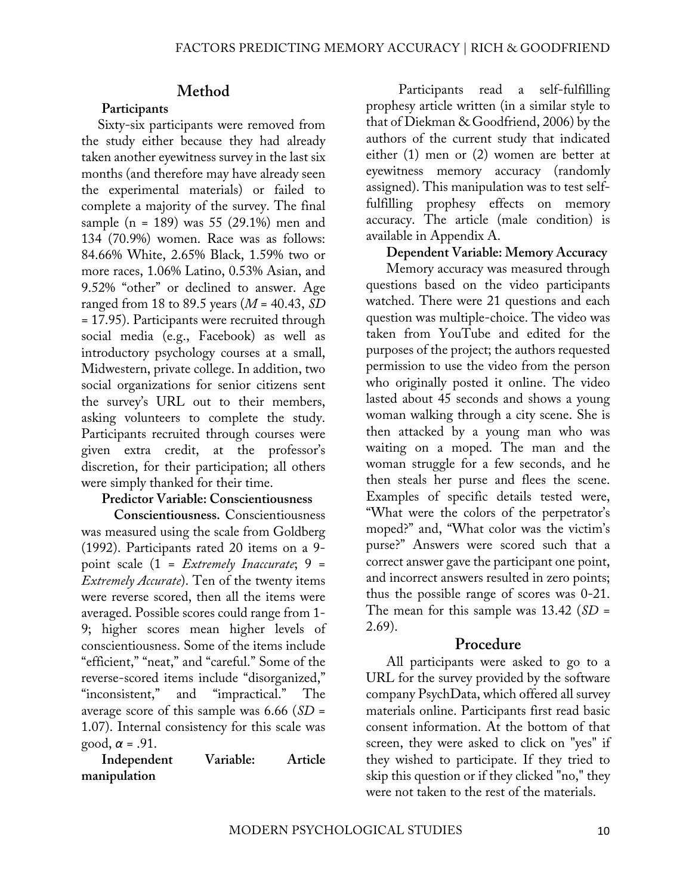# **Method**

### **Participants**

Sixty-six participants were removed from the study either because they had already taken another eyewitness survey in the last six months (and therefore may have already seen the experimental materials) or failed to complete a majority of the survey. The final sample (n = 189) was 55 (29.1%) men and 134 (70.9%) women. Race was as follows: 84.66% White, 2.65% Black, 1.59% two or more races, 1.06% Latino, 0.53% Asian, and 9.52% "other" or declined to answer. Age ranged from 18 to 89.5 years (*M* = 40.43, *SD* = 17.95). Participants were recruited through social media (e.g., Facebook) as well as introductory psychology courses at a small, Midwestern, private college. In addition, two social organizations for senior citizens sent the survey's URL out to their members, asking volunteers to complete the study. Participants recruited through courses were given extra credit, at the professor's discretion, for their participation; all others were simply thanked for their time.

#### **Predictor Variable: Conscientiousness**

**Conscientiousness.** Conscientiousness was measured using the scale from Goldberg (1992). Participants rated 20 items on a 9 point scale (1 = *Extremely Inaccurate*; 9 = *Extremely Accurate*). Ten of the twenty items were reverse scored, then all the items were averaged. Possible scores could range from 1- 9; higher scores mean higher levels of conscientiousness. Some of the items include "efficient," "neat," and "careful." Some of the reverse-scored items include "disorganized," "inconsistent," and "impractical." The average score of this sample was 6.66 (*SD* = 1.07). Internal consistency for this scale was good, *α* = .91.

**Independent Variable: Article manipulation**

Participants read a self-fulfilling prophesy article written (in a similar style to that of Diekman & Goodfriend, 2006) by the authors of the current study that indicated either (1) men or (2) women are better at eyewitness memory accuracy (randomly assigned). This manipulation was to test selffulfilling prophesy effects on memory accuracy. The article (male condition) is available in Appendix A.

#### **Dependent Variable: Memory Accuracy**

Memory accuracy was measured through questions based on the video participants watched. There were 21 questions and each question was multiple-choice. The video was taken from YouTube and edited for the purposes of the project; the authors requested permission to use the video from the person who originally posted it online. The video lasted about 45 seconds and shows a young woman walking through a city scene. She is then attacked by a young man who was waiting on a moped. The man and the woman struggle for a few seconds, and he then steals her purse and flees the scene. Examples of specific details tested were, "What were the colors of the perpetrator's moped?" and, "What color was the victim's purse?" Answers were scored such that a correct answer gave the participant one point, and incorrect answers resulted in zero points; thus the possible range of scores was 0-21. The mean for this sample was 13.42 (*SD* = 2.69).

#### **Procedure**

All participants were asked to go to a URL for the survey provided by the software company PsychData, which offered all survey materials online. Participants first read basic consent information. At the bottom of that screen, they were asked to click on "yes" if they wished to participate. If they tried to skip this question or if they clicked "no," they were not taken to the rest of the materials.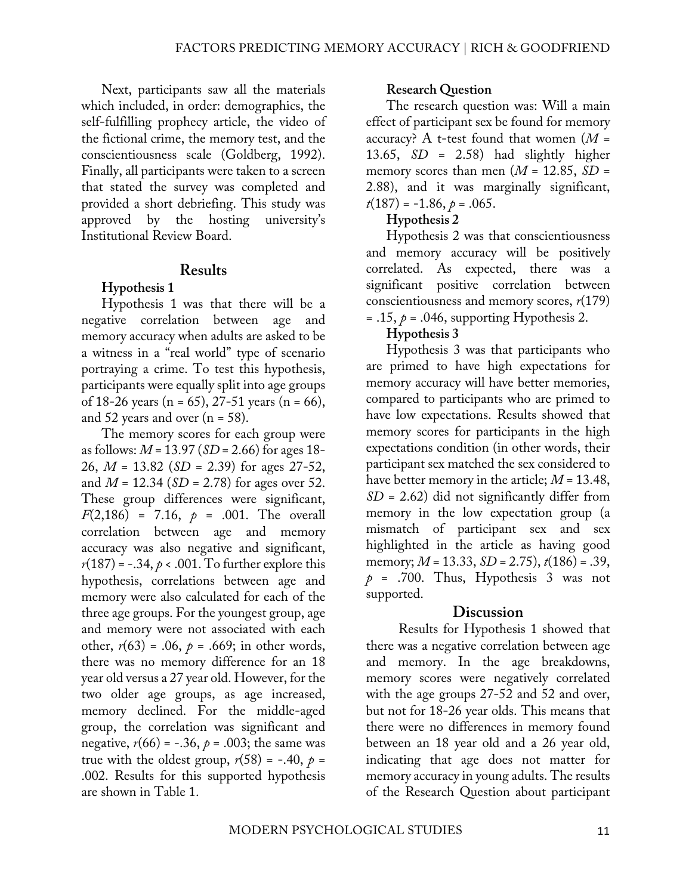Next, participants saw all the materials which included, in order: demographics, the self-fulfilling prophecy article, the video of the fictional crime, the memory test, and the conscientiousness scale (Goldberg, 1992). Finally, all participants were taken to a screen that stated the survey was completed and provided a short debriefing. This study was approved by the hosting university's Institutional Review Board.

### **Results**

### **Hypothesis 1**

Hypothesis 1 was that there will be a negative correlation between age and memory accuracy when adults are asked to be a witness in a "real world" type of scenario portraying a crime. To test this hypothesis, participants were equally split into age groups of 18-26 years (n = 65), 27-51 years (n = 66), and 52 years and over  $(n = 58)$ .

The memory scores for each group were as follows: *M* = 13.97 (*SD* = 2.66) for ages 18- 26, *M* = 13.82 (*SD* = 2.39) for ages 27-52, and *M* = 12.34 (*SD* = 2.78) for ages over 52. These group differences were significant, *F*(2,186) = 7.16, *p* = .001. The overall correlation between age and memory accuracy was also negative and significant,  $r(187) = -.34, p < .001$ . To further explore this hypothesis, correlations between age and memory were also calculated for each of the three age groups. For the youngest group, age and memory were not associated with each other,  $r(63) = .06$ ,  $p = .669$ ; in other words, there was no memory difference for an 18 year old versus a 27 year old. However, for the two older age groups, as age increased, memory declined. For the middle-aged group, the correlation was significant and negative,  $r(66) = -.36$ ,  $p = .003$ ; the same was true with the oldest group,  $r(58) = -.40$ ,  $p =$ .002. Results for this supported hypothesis are shown in Table 1.

#### **Research Question**

The research question was: Will a main effect of participant sex be found for memory accuracy? A t-test found that women (*M* = 13.65, *SD* = 2.58) had slightly higher memory scores than men  $(M = 12.85, SD =$ 2.88), and it was marginally significant, *t*(187) = -1.86, *p* = .065.

### **Hypothesis 2**

Hypothesis 2 was that conscientiousness and memory accuracy will be positively correlated. As expected, there was a significant positive correlation between conscientiousness and memory scores, *r*(179)

 $= .15, p = .046$ , supporting Hypothesis 2.

### **Hypothesis 3**

Hypothesis 3 was that participants who are primed to have high expectations for memory accuracy will have better memories, compared to participants who are primed to have low expectations. Results showed that memory scores for participants in the high expectations condition (in other words, their participant sex matched the sex considered to have better memory in the article; *M* = 13.48, *SD* = 2.62) did not significantly differ from memory in the low expectation group (a mismatch of participant sex and sex highlighted in the article as having good memory; *M* = 13.33, *SD* = 2.75), *t*(186) = .39,  $p = .700$ . Thus, Hypothesis 3 was not supported.

### **Discussion**

Results for Hypothesis 1 showed that there was a negative correlation between age and memory. In the age breakdowns, memory scores were negatively correlated with the age groups 27-52 and 52 and over, but not for 18-26 year olds. This means that there were no differences in memory found between an 18 year old and a 26 year old, indicating that age does not matter for memory accuracy in young adults. The results of the Research Question about participant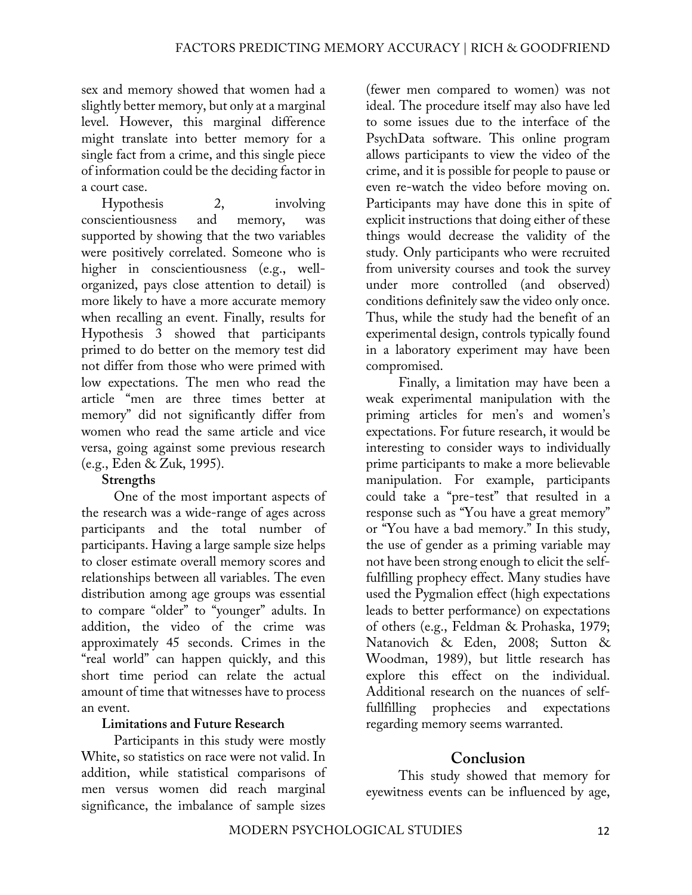sex and memory showed that women had a slightly better memory, but only at a marginal level. However, this marginal difference might translate into better memory for a single fact from a crime, and this single piece of information could be the deciding factor in a court case.

Hypothesis 2, involving conscientiousness and memory, was supported by showing that the two variables were positively correlated. Someone who is higher in conscientiousness (e.g., wellorganized, pays close attention to detail) is more likely to have a more accurate memory when recalling an event. Finally, results for Hypothesis 3 showed that participants primed to do better on the memory test did not differ from those who were primed with low expectations. The men who read the article "men are three times better at memory" did not significantly differ from women who read the same article and vice versa, going against some previous research (e.g., Eden & Zuk, 1995).

### **Strengths**

One of the most important aspects of the research was a wide-range of ages across participants and the total number of participants. Having a large sample size helps to closer estimate overall memory scores and relationships between all variables. The even distribution among age groups was essential to compare "older" to "younger" adults. In addition, the video of the crime was approximately 45 seconds. Crimes in the "real world" can happen quickly, and this short time period can relate the actual amount of time that witnesses have to process an event.

### **Limitations and Future Research**

Participants in this study were mostly White, so statistics on race were not valid. In addition, while statistical comparisons of men versus women did reach marginal significance, the imbalance of sample sizes

(fewer men compared to women) was not ideal. The procedure itself may also have led to some issues due to the interface of the PsychData software. This online program allows participants to view the video of the crime, and it is possible for people to pause or even re-watch the video before moving on. Participants may have done this in spite of explicit instructions that doing either of these things would decrease the validity of the study. Only participants who were recruited from university courses and took the survey under more controlled (and observed) conditions definitely saw the video only once. Thus, while the study had the benefit of an experimental design, controls typically found in a laboratory experiment may have been compromised.

Finally, a limitation may have been a weak experimental manipulation with the priming articles for men's and women's expectations. For future research, it would be interesting to consider ways to individually prime participants to make a more believable manipulation. For example, participants could take a "pre-test" that resulted in a response such as "You have a great memory" or "You have a bad memory." In this study, the use of gender as a priming variable may not have been strong enough to elicit the selffulfilling prophecy effect. Many studies have used the Pygmalion effect (high expectations leads to better performance) on expectations of others (e.g., Feldman & Prohaska, 1979; Natanovich & Eden, 2008; Sutton & Woodman, 1989), but little research has explore this effect on the individual. Additional research on the nuances of selffullfilling prophecies and expectations regarding memory seems warranted.

### **Conclusion**

This study showed that memory for eyewitness events can be influenced by age,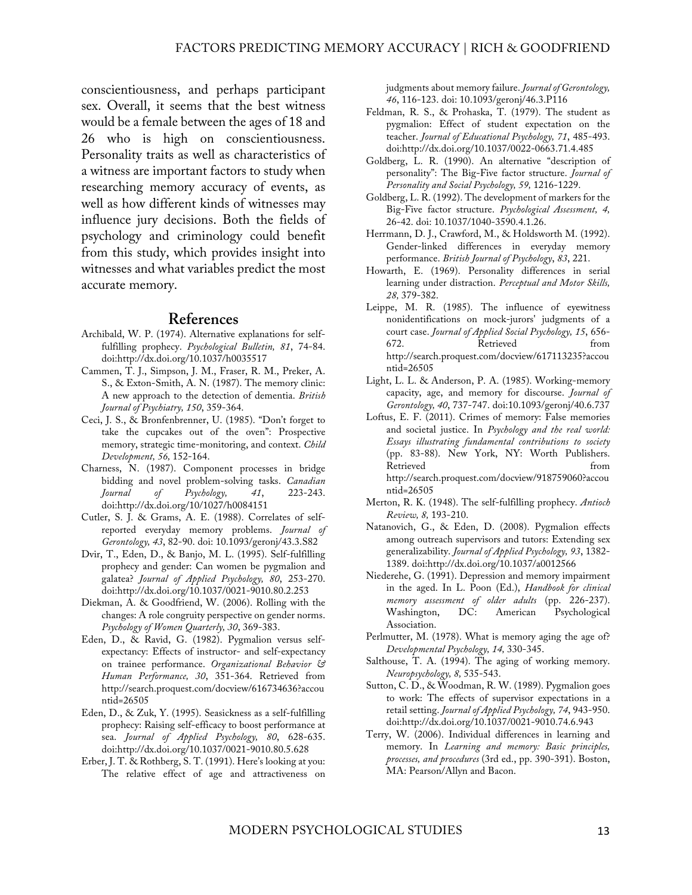conscientiousness, and perhaps participant sex. Overall, it seems that the best witness would be a female between the ages of 18 and 26 who is high on conscientiousness. Personality traits as well as characteristics of a witness are important factors to study when researching memory accuracy of events, as well as how different kinds of witnesses may influence jury decisions. Both the fields of psychology and criminology could benefit from this study, which provides insight into witnesses and what variables predict the most accurate memory.

#### **References**

- Archibald, W. P. (1974). Alternative explanations for selffulfilling prophecy. *Psychological Bulletin, 81*, 74-84. doi:http://dx.doi.org/10.1037/h0035517
- Cammen, T. J., Simpson, J. M., Fraser, R. M., Preker, A. S., & Exton-Smith, A. N. (1987). The memory clinic: A new approach to the detection of dementia. *British Journal of Psychiatry, 150*, 359-364.
- Ceci, J. S., & Bronfenbrenner, U. (1985). "Don't forget to take the cupcakes out of the oven": Prospective memory, strategic time-monitoring, and context. *Child Development, 56,* 152-164.
- Charness, N. (1987). Component processes in bridge bidding and novel problem-solving tasks. *Canadian Journal of Psychology, 41*, 223-243. doi:http://dx.doi.org/10/1027/h0084151
- Cutler, S. J. & Grams, A. E. (1988). Correlates of selfreported everyday memory problems. *Journal of Gerontology, 43*, 82-90. doi: 10.1093/geronj/43.3.S82
- Dvir, T., Eden, D., & Banjo, M. L. (1995). Self-fulfilling prophecy and gender: Can women be pygmalion and galatea? *Journal of Applied Psychology, 80*, 253-270. doi:http://dx.doi.org/10.1037/0021-9010.80.2.253
- Diekman, A. & Goodfriend, W. (2006). Rolling with the changes: A role congruity perspective on gender norms. *Psychology of Women Quarterly, 30*, 369-383.
- Eden, D., & Ravid, G. (1982). Pygmalion versus selfexpectancy: Effects of instructor- and self-expectancy on trainee performance. *Organizational Behavior & Human Performance, 30*, 351-364. Retrieved from http://search.proquest.com/docview/616734636?accou ntid=26505
- Eden, D., & Zuk, Y. (1995). Seasickness as a self-fulfilling prophecy: Raising self-efficacy to boost performance at sea. *Journal of Applied Psychology, 80*, 628-635. doi:http://dx.doi.org/10.1037/0021-9010.80.5.628
- Erber, J. T. & Rothberg, S. T. (1991). Here's looking at you: The relative effect of age and attractiveness on

judgments about memory failure. *Journal of Gerontology, 46*, 116-123. doi: 10.1093/geronj/46.3.P116

- Feldman, R. S., & Prohaska, T. (1979). The student as pygmalion: Effect of student expectation on the teacher. *Journal of Educational Psychology, 71*, 485-493. doi:http://dx.doi.org/10.1037/0022-0663.71.4.485
- Goldberg, L. R. (1990). An alternative "description of personality": The Big-Five factor structure. *Journal of Personality and Social Psychology, 59,* 1216-1229.
- Goldberg, L. R. (1992). The development of markers for the Big-Five factor structure. *Psychological Assessment, 4,* 26-42. doi: 10.1037/1040-3590.4.1.26.
- Herrmann, D. J., Crawford, M., & Holdsworth M. (1992). Gender-linked differences in everyday memory performance. *British Journal of Psychology*, *83*, 221.
- Howarth, E. (1969). Personality differences in serial learning under distraction. *Perceptual and Motor Skills, 28,* 379-382.
- Leippe, M. R. (1985). The influence of eyewitness nonidentifications on mock-jurors' judgments of a court case. *Journal of Applied Social Psychology, 15*, 656- 672. Retrieved from http://search.proquest.com/docview/617113235?accou ntid=26505
- Light, L. L. & Anderson, P. A. (1985). Working-memory capacity, age, and memory for discourse. *Journal of Gerontology, 40*, 737-747. doi:10.1093/geronj/40.6.737
- Loftus, E. F. (2011). Crimes of memory: False memories and societal justice. In *Psychology and the real world: Essays illustrating fundamental contributions to society* (pp. 83-88). New York, NY: Worth Publishers. Retrieved from  $\sim$ http://search.proquest.com/docview/918759060?accou ntid=26505
- Merton, R. K. (1948). The self-fulfilling prophecy. *Antioch Review, 8,* 193-210.
- Natanovich, G., & Eden, D. (2008). Pygmalion effects among outreach supervisors and tutors: Extending sex generalizability. *Journal of Applied Psychology, 93*, 1382- 1389. doi:http://dx.doi.org/10.1037/a0012566
- Niederehe, G. (1991). Depression and memory impairment in the aged. In L. Poon (Ed.), *Handbook for clinical memory assessment of older adults* (pp. 226-237). DC: American Psychological Association.
- Perlmutter, M. (1978). What is memory aging the age of? *Developmental Psychology, 14,* 330-345.
- Salthouse, T. A. (1994). The aging of working memory. *Neuropsychology, 8,* 535-543.
- Sutton, C. D., & Woodman, R. W. (1989). Pygmalion goes to work: The effects of supervisor expectations in a retail setting. *Journal of Applied Psychology, 74*, 943-950. doi:http://dx.doi.org/10.1037/0021-9010.74.6.943
- Terry, W. (2006). Individual differences in learning and memory. In *Learning and memory: Basic principles, processes, and procedures* (3rd ed., pp. 390-391). Boston, MA: Pearson/Allyn and Bacon.